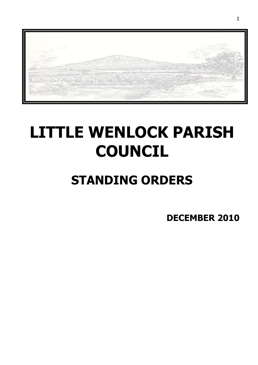

# **LITTLE WENLOCK PARISH COUNCIL**

# **STANDING ORDERS**

**DECEMBER 2010**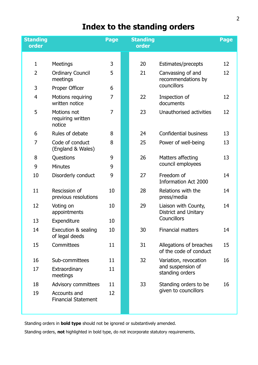# **Index to the standing orders**

| <b>Standing</b><br>order |                                            | <b>Page</b>    | <b>Standing</b><br>order |                                                               | <b>Page</b> |
|--------------------------|--------------------------------------------|----------------|--------------------------|---------------------------------------------------------------|-------------|
|                          |                                            |                |                          |                                                               |             |
| $\mathbf{1}$             | <b>Meetings</b>                            | 3              | 20                       | Estimates/precepts                                            | 12          |
| $\overline{2}$           | <b>Ordinary Council</b><br>meetings        | 5              | 21                       | Canvassing of and<br>recommendations by<br>councillors        | 12          |
| 3                        | Proper Officer                             | 6              |                          |                                                               |             |
| 4                        | Motions requiring<br>written notice        | $\overline{7}$ | 22                       | Inspection of<br>documents                                    | 12          |
| 5                        | Motions not<br>requiring written<br>notice | $\overline{7}$ | 23                       | Unauthorised activities                                       | 12          |
| 6                        | Rules of debate                            | 8              | 24                       | <b>Confidential business</b>                                  | 13          |
| $\overline{7}$           | Code of conduct<br>(England & Wales)       | 8              | 25                       | Power of well-being                                           | 13          |
| 8                        | Questions                                  | 9              | 26                       | Matters affecting<br>council employees                        | 13          |
| 9                        | <b>Minutes</b>                             | 9              |                          |                                                               |             |
| 10                       | Disorderly conduct                         | 9              | 27                       | Freedom of<br><b>Information Act 2000</b>                     | 14          |
| 11                       | Rescission of<br>previous resolutions      | 10             | 28                       | Relations with the<br>press/media                             | 14          |
| 12                       | Voting on<br>appointments                  | 10             | 29                       | Liaison with County,<br>District and Unitary<br>Councillors   | 14          |
| 13                       | Expenditure                                | 10             |                          |                                                               |             |
| 14                       | Execution & sealing<br>of legal deeds      | 10             | 30                       | Financial matters                                             | 14          |
| 15                       | Committees                                 | 11             | 31                       | Allegations of breaches<br>of the code of conduct             | 15          |
| 16                       | Sub-committees                             | 11             | 32                       | Variation, revocation<br>and suspension of<br>standing orders | 16          |
| 17                       | Extraordinary<br>meetings                  | 11             |                          |                                                               |             |
| 18                       | <b>Advisory committees</b>                 | 11             | 33                       | Standing orders to be                                         | 16          |
| 19                       | Accounts and<br><b>Financial Statement</b> | 12             |                          | given to councillors                                          |             |

Standing orders in **bold type** should not be ignored or substantively amended.

Standing orders, **not** highlighted in bold type, do not incorporate statutory requirements.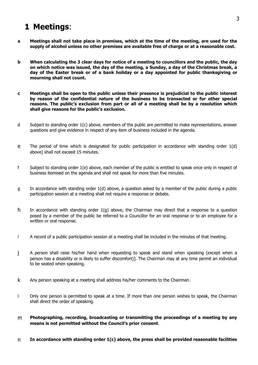#### **1 Meetings**:

- a Meetings shall not take place in premises, which at the time of the meeting, are used for the **supply of alcohol unless no other premises are available free of charge or at a reasonable cost.**
- b When calculating the 3 clear days for notice of a meeting to councillors and the public, the day on which notice was issued, the day of the meeting, a Sunday, a day of the Christmas break, a **day of the Easter break or of a bank holiday or a day appointed for public thanksgiving or mourning shall not count.**
- **c Meetings shall be open to the public unless their presence is prejudicial to the public interest by reason of the confidential nature of the business to be transacted or for other special reasons. The public's exclusion from part or all of a meeting shall be by a resolution which shall give reasons for the public's exclusion.**
- d Subject to standing order 1(c) above, members of the public are permitted to make representations, answer questions and give evidence in respect of any item of business included in the agenda.
- e The period of time which is designated for public participation in accordance with standing order 1(d) above] shall not exceed 15 minutes.
- f Subject to standing order 1(e) above, each member of the public is entitled to speak once only in respect of business itemised on the agenda and shall not speak for more than five minutes.
- g In accordance with standing order 1(d) above, a question asked by a member of the public during a public participation session at a meeting shall not require a response or debate.
- h In accordance with standing order 1(g) above, the Chairman may direct that a response to a question posed by a member of the public be referred to a Councillor for an oral response or to an employee for a written or oral response.
- i A record of a public participation session at a meeting shall be included in the minutes of that meeting.
- j A person shall raise his/her hand when requesting to speak and stand when speaking (except when a person has a disability or is likely to suffer discomfort)]. The Chairman may at any time permit an individual to be seated when speaking.
- k Any person speaking at a meeting shall address his/her comments to the Chairman.
- l Only one person is permitted to speak at a time. If more than one person wishes to speak, the Chairman shall direct the order of speaking.
- m **Photographing, recording, broadcasting or transmitting the proceedings of a meeting by any means is not permitted without the Council's prior consent**.
- n **In accordance with standing order 1(c) above, the press shall be provided reasonable facilities**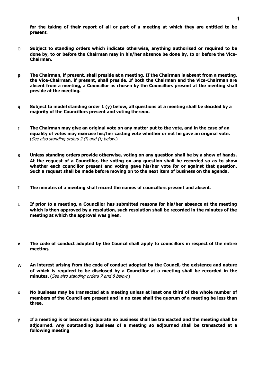for the taking of their report of all or part of a meeting at which they are entitled to be **present**.

- o **Subject to standing orders which indicate otherwise, anything authorised or required to be** done by, to or before the Chairman may in his/her absence be done by, to or before the Vice-**Chairman.**
- **p The Chairman, if present, shall preside at a meeting. If the Chairman is absent from a meeting, the Vice-Chairman, if present, shall preside. If both the Chairman and the Vice-Chairman are absent from a meeting, a Councillor as chosen by the Councillors present at the meeting shall preside at the meeting.**
- q Subject to model standing order 1 (y) below, all questions at a meeting shall be decided by a **majority of the Councillors present and voting thereon.**
- r The Chairman may give an original vote on any matter put to the vote, and in the case of an **equality of votes may exercise his/her casting vote whether or not he gave an original vote.** (See also standing orders 2 (i) and (j) below.)
- s **Unless standing orders provide otherwise, voting on any question shall be by a show of hands. At the request of a Councillor, the voting on any question shall be recorded so as to show whether each councillor present and voting gave his/her vote for or against that question. Such a request shall be made before moving on to the next item of business on the agenda.**
- t **The minutes of a meeting shall record the names of councillors present and absent**.
- u **If prior to a meeting, a Councillor has submitted reasons for his/her absence at the meeting which is then approved by a resolution, such resolution shall be recorded in the minutes of the meeting at which the approval was given**.
- **v The code of conduct adopted by the Council shall apply to councillors in respect of the entire meeting.**
- w **An interest arising from the code of conduct adopted by the Council, the existence and nature of which is required to be disclosed by a Councillor at a meeting shall be recorded in the minutes.** (See also standing orders 7 and 8 below.)
- x **No business may be transacted at a meeting unless at least one third of the whole number of** members of the Council are present and in no case shall the guorum of a meeting be less than **three.**
- y **If a meeting is or becomes inquorate no business shall be transacted and the meeting shall be adjourned. Any outstanding business of a meeting so adjourned shall be transacted at a following meeting**.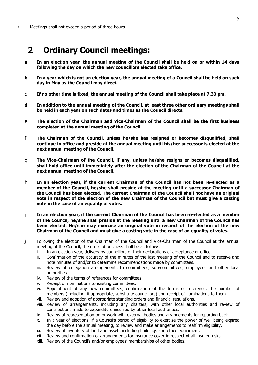### **2 Ordinary Council meetings:**

- **a In an election year, the annual meeting of the Council shall be held on or within 14 days following the day on which the new councillors elected take office.**
- b In a year which is not an election year, the annual meeting of a Council shall be held on such **day in May as the Council may direct.**
- c **If no other time is fixed, the annual meeting of the Council shall take place at 7.30 pm.**
- **d In addition to the annual meeting of the Council, at least three other ordinary meetings shall be held in each year on such dates and times as the Council directs.**
- e **The election of the Chairman and Vice-Chairman of the Council shall be the first business completed at the annual meeting of the Council.**
- f **The Chairman of the Council, unless he/she has resigned or becomes disqualified, shall continue in office and preside at the annual meeting until his/her successor is elected at the next annual meeting of the Council.**
- g **The Vice-Chairman of the Council, if any, unless he/she resigns or becomes disqualified, shall hold office until immediately after the election of the Chairman of the Council at the next annual meeting of the Council.**
- h **In an election year, if the current Chairman of the Council has not been re-elected as a member of the Council, he/she shall preside at the meeting until a successor Chairman of the Council has been elected. The current Chairman of the Council shall not have an original vote in respect of the election of the new Chairman of the Council but must give a casting vote in the case of an equality of votes.**
- i **In an election year, if the current Chairman of the Council has been re-elected as a member of the Council, he/she shall preside at the meeting until a new Chairman of the Council has been elected. He/she may exercise an original vote in respect of the election of the new Chairman of the Council and must give a casting vote in the case of an equality of votes.**
- j Following the election of the Chairman of the Council and Vice-Chairman of the Council at the annual meeting of the Council, the order of business shall be as follows.
	- i. In an election year, delivery by councillors of their declarations of acceptance of office.
	- ii. Confirmation of the accuracy of the minutes of the last meeting of the Council and to receive and note minutes of and/or to determine recommendations made by committees.
	- iii. Review of delegation arrangements to committees, sub-committees, employees and other local authorities.
	- iv. Review of the terms of references for committees.
	- v. Receipt of nominations to existing committees.
	- vi. Appointment of any new committees, confirmation of the terms of reference, the number of members (including, if appropriate, substitute councillors) and receipt of nominations to them.
	- vii. Review and adoption of appropriate standing orders and financial regulations.
	- viii. Review of arrangements, including any charters, with other local authorities and review of contributions made to expenditure incurred by other local authorities.
	- ix. Review of representation on or work with external bodies and arrangements for reporting back.
	- x. In a year of elections, if a Council's period of eligibility to exercise the power of well being expired the day before the annual meeting, to review and make arrangements to reaffirm eligibility.
	- xi. Review of inventory of land and assets including buildings and office equipment.
	- xii. Review and confirmation of arrangements for insurance cover in respect of all insured risks.
	- xiii. Review of the Council's and/or employees' memberships of other bodies.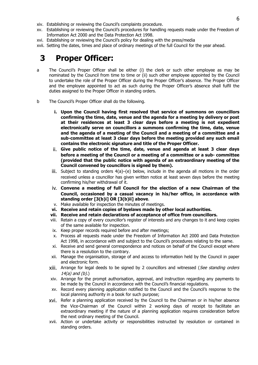- xiv. Establishing or reviewing the Council's complaints procedure.
- xv. Establishing or reviewing the Council's procedures for handling requests made under the Freedom of Information Act 2000 and the Data Protection Act 1998.
- xvi. Establishing or reviewing the Council's policy for dealing with the press/media
- xvii. Setting the dates, times and place of ordinary meetings of the full Council for the year ahead.

# **3 Proper Officer:**

- a The Council's Proper Officer shall be either (i) the clerk or such other employee as may be nominated by the Council from time to time or (ii) such other employee appointed by the Council to undertake the role of the Proper Officer during the Proper Officer's absence. The Proper Officer and the employee appointed to act as such during the Proper Officer's absence shall fulfil the duties assigned to the Proper Officer in standing orders.
- b The Council's Proper Officer shall do the following.
	- **i. Upon the Council having first resolved that service of summons on councillors confirming the time, date, venue and the agenda for a meeting by delivery or post at their residences at least 3 clear days before a meeting is not expedient electronically serve on councillors a summons confirming the time, date, venue and the agenda of a meeting of the Council and a meeting of a committee and a sub-committee at least 3 clear days before the meeting provided any such email contains the electronic signature and title of the Proper Officer.**
	- ii. **Give public notice of the time, date, venue and agenda at least 3 clear days before a meeting of the Council or a meeting of a committee or a sub- committee (provided that the public notice with agenda of an extraordinary meeting of the Council convened by councillors is signed by them).**
	- iii. Subject to standing orders 4(a)–(e) below, include in the agenda all motions in the order received unless a councillor has given written notice at least seven days before the meeting confirming his/her withdrawal of it.
	- iv. **Convene a meeting of full Council for the election of a new Chairman of the Council, occasioned by a casual vacancy in his/her office, in accordance with standing order [3(b)i] OR [3(b)ii] above**.
	- v. Make available for inspection the minutes of meetings.
	- **vi. Receive and retain copies of byelaws made by other local authorities.**
	- **vii. Receive and retain declarations of acceptance of office from councillors.**
	- viii. Retain a copy of every councillor's register of interests and any changes to it and keep copies of the same available for inspection.
	- ix. Keep proper records required before and after meetings;
	- x. Process all requests made under the Freedom of Information Act 2000 and Data Protection Act 1998, in accordance with and subject to the Council's procedures relating to the same.
	- xi. Receive and send general correspondence and notices on behalf of the Council except where there is a resolution to the contrary.
	- xii. Manage the organisation, storage of and access to information held by the Council in paper and electronic form.
	- xiii. Arrange for legal deeds to be signed by 2 councillors and witnessed (See standing orders  $14(a)$  and  $(b)$ .)
	- xiv. Arrange for the prompt authorisation, approval, and instruction regarding any payments to be made by the Council in accordance with the Council's financial regulations.
	- xv. Record every planning application notified to the Council and the Council's response to the local planning authority in a book for such purpose;
	- xvi. Refer a planning application received by the Council to the Chairman or in his/her absence the Vice-Chairman of the Council within 2 working days of receipt to facilitate an extraordinary meeting if the nature of a planning application requires consideration before the next ordinary meeting of the Council.
	- xvii. Action or undertake activity or responsibilities instructed by resolution or contained in standing orders.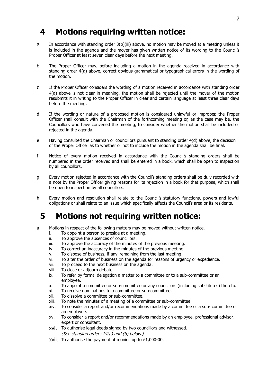# **4 Motions requiring written notice:**

- a In accordance with standing order 3(b)(iii) above, no motion may be moved at a meeting unless it is included in the agenda and the mover has given written notice of its wording to the Council's Proper Officer at least seven clear days before the next meeting.
- b The Proper Officer may, before including a motion in the agenda received in accordance with standing order 4(a) above, correct obvious grammatical or typographical errors in the wording of the motion.
- c If the Proper Officer considers the wording of a motion received in accordance with standing order 4(a) above is not clear in meaning, the motion shall be rejected until the mover of the motion resubmits it in writing to the Proper Officer in clear and certain language at least three clear days before the meeting.
- d If the wording or nature of a proposed motion is considered unlawful or improper, the Proper Officer shall consult with the Chairman of the forthcoming meeting or, as the case may be, the Councillors who have convened the meeting, to consider whether the motion shall be included or rejected in the agenda.
- e Having consulted the Chairman or councillors pursuant to standing order 4(d) above, the decision of the Proper Officer as to whether or not to include the motion in the agenda shall be final.
- f Notice of every motion received in accordance with the Council's standing orders shall be numbered in the order received and shall be entered in a book, which shall be open to inspection by all councillors.
- g Every motion rejected in accordance with the Council's standing orders shall be duly recorded with a note by the Proper Officer giving reasons for its rejection in a book for that purpose, which shall be open to inspection by all councillors.
- h Every motion and resolution shall relate to the Council's statutory functions, powers and lawful obligations or shall relate to an issue which specifically affects the Council's area or its residents.

#### **5 Motions not requiring written notice:**

- a Motions in respect of the following matters may be moved without written notice.
	- i. To appoint a person to preside at a meeting.
	- ii. To approve the absences of councillors.
	- iii. To approve the accuracy of the minutes of the previous meeting.
	- iv. To correct an inaccuracy in the minutes of the previous meeting.
	- v. To dispose of business, if any, remaining from the last meeting.
	- vi. To alter the order of business on the agenda for reasons of urgency or expedience.
	- vii. To proceed to the next business on the agenda.
	- viii. To close or adjourn debate.
	- ix. To refer by formal delegation a matter to a committee or to a sub-committee or an employee.
	- x. To appoint a committee or sub-committee or any councillors (including substitutes) thereto.
	- xi. To receive nominations to a committee or sub-committee.
	- xii. To dissolve a committee or sub-committee.
	- xiii. To note the minutes of a meeting of a committee or sub-committee.
	- xiv. To consider a report and/or recommendations made by a committee or a sub- committee or an employee.
	- xv. To consider a report and/or recommendations made by an employee, professional advisor, expert or consultant.
	- xvi. To authorise legal deeds signed by two councillors and witnessed. (See standing orders 14(a) and (b) below.)
	- xvii. To authorise the payment of monies up to £1,000-00.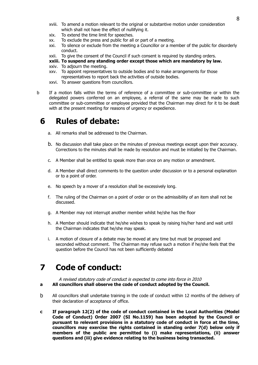- xviii. To amend a motion relevant to the original or substantive motion under consideration which shall not have the effect of nullifying it.
- xix. To extend the time limit for speeches.
- xx. To exclude the press and public for all or part of a meeting.
- xxi. To silence or exclude from the meeting a Councillor or a member of the public for disorderly conduct.
- xxii. To give the consent of the Council if such consent is required by standing orders.

#### **xxiii. To suspend any standing order except those which are mandatory by law.**

- xxiv. To adjourn the meeting.
- xxv. To appoint representatives to outside bodies and to make arrangements for those representatives to report back the activities of outside bodies.
- xxvi. To answer questions from councillors.
- b If a motion falls within the terms of reference of a committee or sub-committee or within the delegated powers conferred on an employee, a referral of the same may be made to such committee or sub-committee or employee provided that the Chairman may direct for it to be dealt with at the present meeting for reasons of urgency or expedience.

# **6 Rules of debate:**

- a. All remarks shall be addressed to the Chairman.
- b. No discussion shall take place on the minutes of previous meetings except upon their accuracy. Corrections to the minutes shall be made by resolution and must be initialled by the Chairman.
- c. A Member shall be entitled to speak more than once on any motion or amendment.
- d. A Member shall direct comments to the question under discussion or to a personal explanation or to a point of order.
- e. No speech by a mover of a resolution shall be excessively long.
- f. The ruling of the Chairman on a point of order or on the admissibility of an item shall not be discussed.
- g. A Member may not interrupt another member whilst he/she has the floor
- h. A Member should indicate that he/she wishes to speak by raising his/her hand and wait until the Chairman indicates that he/she may speak.
- i. A motion of closure of a debate may be moved at any time but must be proposed and seconded without comment. The Chairman may refuse such a motion if he/she feels that the question before the Council has not been sufficiently debated

# **7 Code of conduct:**

A revised statutory code of conduct is expected to come into force in 2010 **a All councillors shall observe the code of conduct adopted by the Council.**

- b All councillors shall undertake training in the code of conduct within 12 months of the delivery of their declaration of acceptance of office.
- **c If paragraph 12(2) of the code of conduct contained in the Local Authorities (Model Code of Conduct) Order 2007 (SI No.1159) has been adopted by the Council or pursuant to relevant provisions in a statutory code of conduct in force at the time, councillors may exercise the rights contained in standing order 7(d) below only if members of the public are permitted to (i) make representations, (ii) answer questions and (iii) give evidence relating to the business being transacted.**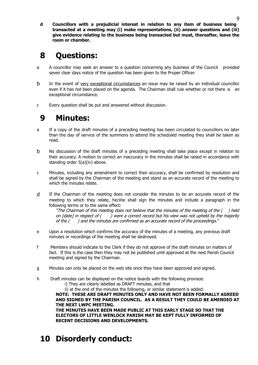**d Councillors with a prejudicial interest in relation to any item of business being transacted at a meeting may (i) make representations, (ii) answer questions and (iii) give evidence relating to the business being transacted but must, thereafter, leave the room or chamber.**

# **8 Questions:**

- a A councillor may seek an answer to a question concerning any business of the Council provided seven clear days notice of the question has been given to the Proper Officer.
- b In the event of very exceptional circumstances an issue may be raised by an individual councillor even if it has not been placed on the agenda. The Chairman shall rule whether or not there is an exceptional circumstance.
- c Every question shall be put and answered without discussion.

# **9 Minutes:**

- a If a copy of the draft minutes of a preceding meeting has been circulated to councillors no later than the day of service of the summons to attend the scheduled meeting they shall be taken as read.
- b No discussion of the draft minutes of a preceding meeting shall take place except in relation to their accuracy. A motion to correct an inaccuracy in the minutes shall be raised in accordance with standing order 5(a)(iv) above.
- c Minutes, including any amendment to correct their accuracy, shall be confirmed by resolution and shall be signed by the Chairman of the meeting and stand as an accurate record of the meeting to which the minutes relate.
- d If the Chairman of the meeting does not consider the minutes to be an accurate record of the meeting to which they relate, he/she shall sign the minutes and include a paragraph in the following terms or to the same effect:

"The Chairman of this meeting does not believe that the minutes of the meeting of the  $($ ) held on [date] in respect of () were a correct record but his view was not upheld by the majority of the ( ) and the minutes are confirmed as an accurate record of the proceedings."

- e Upon a resolution which confirms the accuracy of the minutes of a meeting, any previous draft minutes or recordings of the meeting shall be destroyed.
- f Members should indicate to the Clerk if they do not approve of the draft minutes on matters of fact. If this is the case then they may not be published until approved at the next Parish Council meeting and signed by the Chairman.
- g Minutes can only be placed on the web site once they have been approved and signed.
- h Draft minutes can be displayed on the notice boards with the following provisos:
	- i) They are clearly labelled as DRAFT minutes, and that

ii) at the end of the minutes the following, or similar statement is added:

**NOTE: THESE ARE DRAFT MINUTES ONLY AND HAVE NOT BEEN FORMALLY AGREED AND SIGNED BY THE PARISH COUNCIL. AS A RESULT THEY COULD BE AMENDED AT THE NEXT LWPC MEETING.**

**THE MINUTES HAVE BEEN MADE PUBLIC AT THIS EARLY STAGE SO THAT THE ELECTORS OF LITTLE WENLOCK PARISH MAY BE KEPT FULLY INFORMED OF RECENT DECISIONS AND DEVELOPMENTS.**

**10 Disorderly conduct:**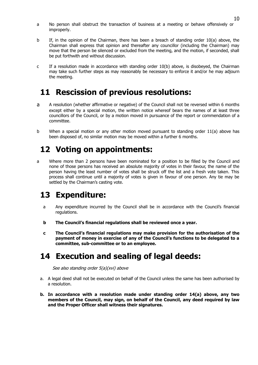- a No person shall obstruct the transaction of business at a meeting or behave offensively or improperly.
- b If, in the opinion of the Chairman, there has been a breach of standing order 10(a) above, the Chairman shall express that opinion and thereafter any councillor (including the Chairman) may move that the person be silenced or excluded from the meeting, and the motion, if seconded, shall be put forthwith and without discussion.
- c If a resolution made in accordance with standing order 10(b) above, is disobeyed, the Chairman may take such further steps as may reasonably be necessary to enforce it and/or he may adjourn the meeting.

# **11 Rescission of previous resolutions:**

- a A resolution (whether affirmative or negative) of the Council shall not be reversed within 6 months except either by a special motion, the written notice whereof bears the names of at least three councillors of the Council, or by a motion moved in pursuance of the report or commendation of a committee.
- b When a special motion or any other motion moved pursuant to standing order 11(a) above has been disposed of, no similar motion may be moved within a further 6 months.

# **12 Voting on appointments:**

a Where more than 2 persons have been nominated for a position to be filled by the Council and none of those persons has received an absolute majority of votes in their favour, the name of the person having the least number of votes shall be struck off the list and a fresh vote taken. This process shall continue until a majority of votes is given in favour of one person. Any tie may be settled by the Chairman's casting vote.

# **13 Expenditure:**

- a Any expenditure incurred by the Council shall be in accordance with the Council's financial regulations.
- **b The Council's financial regulations shall be reviewed once a year.**
- **c The Council's financial regulations may make provision for the authorisation of the payment of money in exercise of any of the Council's functions to be delegated to a committee, sub-committee or to an employee.**

# **14 Execution and sealing of legal deeds:**

See also standing order 5(a)(xvi) above

- a. A legal deed shall not be executed on behalf of the Council unless the same has been authorised by a resolution.
- **b. In accordance with a resolution made under standing order 14(a) above, any two members of the Council, may sign, on behalf of the Council, any deed required by law and the Proper Officer shall witness their signatures.**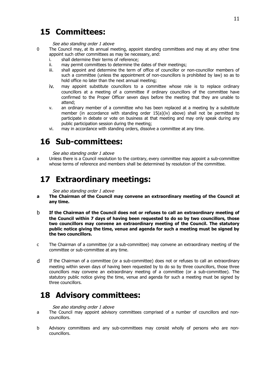# **15 Committees:**

#### See also standing order 1 above

- 0 The Council may, at its annual meeting, appoint standing committees and may at any other time appoint such other committees as may be necessary, and:
	- i. shall determine their terms of reference;
	- ii. may permit committees to determine the dates of their meetings;
	- iii. shall appoint and determine the term of office of councillor or non-councillor members of such a committee (unless the appointment of non-councillors is prohibited by law) so as to hold office no later than the next annual meeting;
	- iv. may appoint substitute councillors to a committee whose role is to replace ordinary councillors at a meeting of a committee if ordinary councillors of the committee have confirmed to the Proper Officer seven days before the meeting that they are unable to attend;
	- v. an ordinary member of a committee who has been replaced at a meeting by a substitute member (in accordance with standing order  $15(a)(iv)$  above) shall not be permitted to participate in debate or vote on business at that meeting and may only speak during any public participation session during the meeting;
	- vi. may in accordance with standing orders, dissolve a committee at any time.

# **16 Sub-committees:**

#### See also standing order 1 above

a Unless there is a Council resolution to the contrary, every committee may appoint a sub-committee whose terms of reference and members shall be determined by resolution of the committee.

### **17 Extraordinary meetings:**

#### See also standing order 1 above

- **a The Chairman of the Council may convene an extraordinary meeting of the Council at any time.**
- b **If the Chairman of the Council does not or refuses to call an extraordinary meeting of the Council within 7 days of having been requested to do so by two councillors, those two councillors may convene an extraordinary meeting of the Council. The statutory public notice giving the time, venue and agenda for such a meeting must be signed by the two councillors.**
- c The Chairman of a committee (or a sub-committee) may convene an extraordinary meeting of the committee or sub-committee at any time.
- d If the Chairman of a committee (or a sub-committee) does not or refuses to call an extraordinary meeting within seven days of having been requested by to do so by three councillors, those three councillors may convene an extraordinary meeting of a committee (or a sub-committee). The statutory public notice giving the time, venue and agenda for such a meeting must be signed by three councillors.

# **18 Advisory committees:**

#### See also standing order 1 above

- a The Council may appoint advisory committees comprised of a number of councillors and noncouncillors.
- b Advisory committees and any sub-committees may consist wholly of persons who are noncouncillors.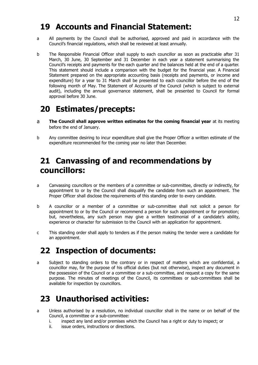## **19 Accounts and Financial Statement:**

- a All payments by the Council shall be authorised, approved and paid in accordance with the Council's financial regulations, which shall be reviewed at least annually.
- b The Responsible Financial Officer shall supply to each councillor as soon as practicable after 31 March, 30 June, 30 September and 31 December in each year a statement summarising the Council's receipts and payments for the each quarter and the balances held at the end of a quarter. This statement should include a comparison with the budget for the financial year. A Financial Statement prepared on the appropriate accounting basis (receipts and payments, or income and expenditure) for a year to 31 March shall be presented to each councillor before the end of the following month of May. The Statement of Accounts of the Council (which is subject to external audit), including the annual governance statement, shall be presented to Council for formal approval before 30 June.

# **20 Estimates/precepts:**

- a **The Council shall approve written estimates for the coming financial year** at its meeting before the end of January.
- b Any committee desiring to incur expenditure shall give the Proper Officer a written estimate of the expenditure recommended for the coming year no later than December.

# **21 Canvassing of and recommendations by councillors:**

- a Canvassing councillors or the members of a committee or sub-committee, directly or indirectly, for appointment to or by the Council shall disqualify the candidate from such an appointment. The Proper Officer shall disclose the requirements of this standing order to every candidate.
- b A councillor or a member of a committee or sub-committee shall not solicit a person for appointment to or by the Council or recommend a person for such appointment or for promotion; but, nevertheless, any such person may give a written testimonial of a candidate's ability, experience or character for submission to the Council with an application for appointment.
- c This standing order shall apply to tenders as if the person making the tender were a candidate for an appointment.

# **22 Inspection of documents:**

a Subject to standing orders to the contrary or in respect of matters which are confidential, a councillor may, for the purpose of his official duties (but not otherwise), inspect any document in the possession of the Council or a committee or a sub-committee, and request a copy for the same purpose. The minutes of meetings of the Council, its committees or sub-committees shall be available for inspection by councillors.

# **23 Unauthorised activities:**

- a Unless authorised by a resolution, no individual councillor shall in the name or on behalf of the Council, a committee or a sub-committee:
	- i. inspect any land and/or premises which the Council has a right or duty to inspect; or
	- ii. issue orders, instructions or directions.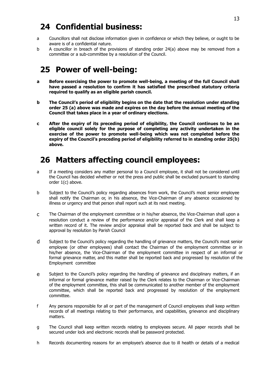# **24 Confidential business:**

- a Councillors shall not disclose information given in confidence or which they believe, or ought to be aware is of a confidential nature.
- b A councillor in breach of the provisions of standing order 24(a) above may be removed from a committee or a sub-committee by a resolution of the Council.

# **25 Power of well-being:**

- **a Before exercising the power to promote well-being, a meeting of the full Council shall have passed a resolution to confirm it has satisfied the prescribed statutory criteria required to qualify as an eligible parish council.**
- **b The Council's period of eligibility begins on the date that the resolution under standing order 25 (a) above was made and expires on the day before the annual meeting of the Council that takes place in a year of ordinary elections.**
- **c After the expiry of its preceding period of eligibility, the Council continues to be an eligible council solely for the purpose of completing any activity undertaken in the exercise of the power to promote well-being which was not completed before the expiry of the Council's preceding period of eligibility referred to in standing order 25(b) above.**

# **26 Matters affecting council employees:**

- a If a meeting considers any matter personal to a Council employee, it shall not be considered until the Council has decided whether or not the press and public shall be excluded pursuant to standing order 1(c) above.
- b Subject to the Council's policy regarding absences from work, the Council's most senior employee shall notify the Chairman or, in his absence, the Vice-Chairman of any absence occasioned by illness or urgency and that person shall report such at its next meeting.
- c The Chairman of the employment committee or in his/her absence, the Vice-Chairman shall upon a resolution conduct a review of the performance and/or appraisal of the Clerk and shall keep a written record of it. The review and/or appraisal shall be reported back and shall be subject to approval by resolution by Parish Council
- d Subject to the Council's policy regarding the handling of grievance matters, the Council's most senior employee (or other employees) shall contact the Chairman of the employment committee or in his/her absence, the Vice-Chairman of the employment committee in respect of an informal or formal grievance matter, and this matter shall be reported back and progressed by resolution of the Employment committee
- e Subject to the Council's policy regarding the handling of grievance and disciplinary matters, if an informal or formal grievance matter raised by the Clerk relates to the Chairman or Vice-Chairman of the employment committee, this shall be communicated to another member of the employment committee, which shall be reported back and progressed by resolution of the employment committee.
- f Any persons responsible for all or part of the management of Council employees shall keep written records of all meetings relating to their performance, and capabilities, grievance and disciplinary matters.
- g The Council shall keep written records relating to employees secure. All paper records shall be secured under lock and electronic records shall be password protected.
- h Records documenting reasons for an employee's absence due to ill health or details of a medical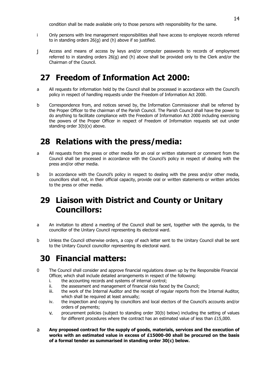condition shall be made available only to those persons with responsibility for the same.

- i Only persons with line management responsibilities shall have access to employee records referred to in standing orders 26(g) and (h) above if so justified.
- j Access and means of access by keys and/or computer passwords to records of employment referred to in standing orders 26(g) and (h) above shall be provided only to the Clerk and/or the Chairman of the Council.

# **27 Freedom of Information Act 2000:**

- a All requests for information held by the Council shall be processed in accordance with the Council's policy in respect of handling requests under the Freedom of Information Act 2000.
- b Correspondence from, and notices served by, the Information Commissioner shall be referred by the Proper Officer to the chairman of the Parish Council. The Parish Council shall have the power to do anything to facilitate compliance with the Freedom of Information Act 2000 including exercising the powers of the Proper Officer in respect of Freedom of Information requests set out under standing order 3(b)(x) above.

# **28 Relations with the press/media:**

- a All requests from the press or other media for an oral or written statement or comment from the Council shall be processed in accordance with the Council's policy in respect of dealing with the press and/or other media.
- b In accordance with the Council's policy in respect to dealing with the press and/or other media, councillors shall not, in their official capacity, provide oral or written statements or written articles to the press or other media.

# **29 Liaison with District and County or Unitary Councillors:**

- a An invitation to attend a meeting of the Council shall be sent, together with the agenda, to the councillor of the Unitary Council representing its electoral ward.
- b Unless the Council otherwise orders, a copy of each letter sent to the Unitary Council shall be sent to the Unitary Council councillor representing its electoral ward.

# **30 Financial matters:**

- 0 The Council shall consider and approve financial regulations drawn up by the Responsible Financial Officer, which shall include detailed arrangements in respect of the following:
	- i. the accounting records and systems of internal control;
	- ii. the assessment and management of financial risks faced by the Council;
	- iii. the work of the Internal Auditor and the receipt of regular reports from the Internal Auditor, which shall be required at least annually;
	- iv. the inspection and copying by councillors and local electors of the Council's accounts and/or orders of payments;
	- v. procurement policies (subject to standing order 30(b) below) including the setting of values for different procedures where the contract has an estimated value of less than £15,000.
- a **Any proposed contract for the supply of goods, materials, services and the execution of works with an estimated value in excess of £15000-00 shall be procured on the basis of a formal tender as summarised in standing order 30(c) below.**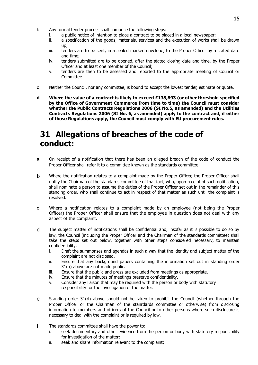- b Any formal tender process shall comprise the following steps:
	- i. a public notice of intention to place a contract to be placed in a local newspaper;
	- ii. a specification of the goods, materials, services and the execution of works shall be drawn up;
	- iii. tenders are to be sent, in a sealed marked envelope, to the Proper Officer by a stated date and time;
	- iv. tenders submitted are to be opened, after the stated closing date and time, by the Proper Officer and at least one member of the Council;
	- v. tenders are then to be assessed and reported to the appropriate meeting of Council or **Committee**
- c Neither the Council, nor any committee, is bound to accept the lowest tender, estimate or quote.
- **d Where the value of a contract is likely to exceed £138,893 (or other threshold specified by the Office of Government Commerce from time to time) the Council must consider whether the Public Contracts Regulations 2006 (SI No.5, as amended) and the Utilities Contracts Regulations 2006 (SI No. 6, as amended) apply to the contract and, if either of those Regulations apply, the Council must comply with EU procurement rules.**

# **31 Allegations of breaches of the code of conduct:**

- a On receipt of a notification that there has been an alleged breach of the code of conduct the Proper Officer shall refer it to a committee known as the standards committee.
- b Where the notification relates to a complaint made by the Proper Officer, the Proper Officer shall notify the Chairman of the standards committee of that fact, who, upon receipt of such notification, shall nominate a person to assume the duties of the Proper Officer set out in the remainder of this standing order, who shall continue to act in respect of that matter as such until the complaint is resolved.
- c Where a notification relates to a complaint made by an employee (not being the Proper Officer) the Proper Officer shall ensure that the employee in question does not deal with any aspect of the complaint.
- d The subject matter of notifications shall be confidential and, insofar as it is possible to do so by law, the Council (including the Proper Officer and the Chairman of the standards committee) shall take the steps set out below, together with other steps considered necessary, to maintain confidentiality.
	- i. Draft the summonses and agendas in such a way that the identity and subject matter of the complaint are not disclosed.
	- ii. Ensure that any background papers containing the information set out in standing order 31(a) above are not made public.
	- iii. Ensure that the public and press are excluded from meetings as appropriate.
	- iv. Ensure that the minutes of meetings preserve confidentiality.
	- v. Consider any liaison that may be required with the person or body with statutory responsibility for the investigation of the matter.
- e Standing order 31(d) above should not be taken to prohibit the Council (whether through the Proper Officer or the Chairman of the stanrdards committee or otherwise) from disclosing information to members and officers of the Council or to other persons where such disclosure is necessary to deal with the complaint or is required by law.
- f The standards committee shall have the power to:
	- i. seek documentary and other evidence from the person or body with statutory responsibility for investigation of the matter;
	- ii. seek and share information relevant to the complaint;